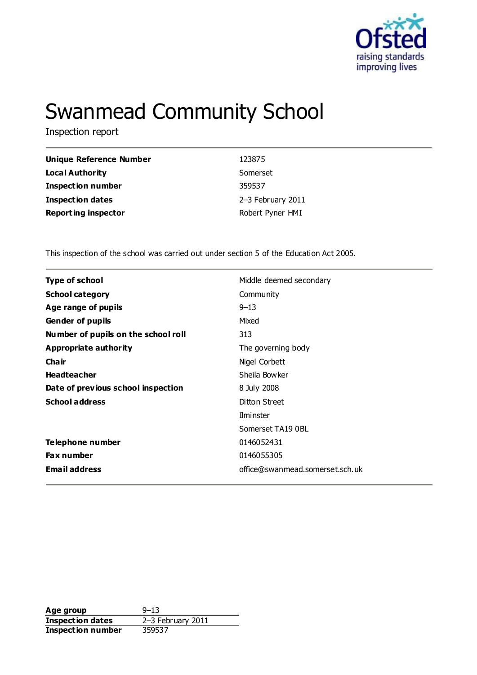

# Swanmead Community School

Inspection report

| Unique Reference Number    | 123875            |
|----------------------------|-------------------|
| <b>Local Authority</b>     | Somerset          |
| <b>Inspection number</b>   | 359537            |
| <b>Inspection dates</b>    | 2-3 February 2011 |
| <b>Reporting inspector</b> | Robert Pyner HMI  |

This inspection of the school was carried out under section 5 of the Education Act 2005.

| <b>Type of school</b>               | Middle deemed secondary         |
|-------------------------------------|---------------------------------|
| <b>School category</b>              | Community                       |
| Age range of pupils                 | $9 - 13$                        |
| <b>Gender of pupils</b>             | Mixed                           |
| Number of pupils on the school roll | 313                             |
| Appropriate authority               | The governing body              |
| Cha ir                              | Nigel Corbett                   |
| <b>Headteacher</b>                  | Sheila Bowker                   |
| Date of previous school inspection  | 8 July 2008                     |
| <b>School address</b>               | Ditton Street                   |
|                                     | Ilminster                       |
|                                     | Somerset TA19 0BL               |
| Telephone number                    | 0146052431                      |
| <b>Fax number</b>                   | 0146055305                      |
| <b>Email address</b>                | office@swanmead.somerset.sch.uk |

**Age group** 9–13<br> **Inspection dates** 2–3 February 2011 **Inspection dates** 2–3 Feb<br>**Inspection number** 359537 **Inspection number**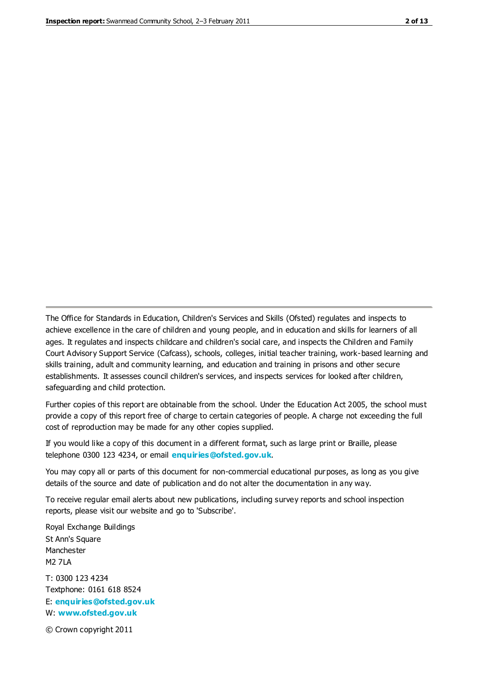The Office for Standards in Education, Children's Services and Skills (Ofsted) regulates and inspects to achieve excellence in the care of children and young people, and in education and skills for learners of all ages. It regulates and inspects childcare and children's social care, and inspects the Children and Family Court Advisory Support Service (Cafcass), schools, colleges, initial teacher training, work-based learning and skills training, adult and community learning, and education and training in prisons and other secure establishments. It assesses council children's services, and inspects services for looked after children, safeguarding and child protection.

Further copies of this report are obtainable from the school. Under the Education Act 2005, the school must provide a copy of this report free of charge to certain categories of people. A charge not exceeding the full cost of reproduction may be made for any other copies supplied.

If you would like a copy of this document in a different format, such as large print or Braille, please telephone 0300 123 4234, or email **[enquiries@ofsted.gov.uk](mailto:enquiries@ofsted.gov.uk)**.

You may copy all or parts of this document for non-commercial educational purposes, as long as you give details of the source and date of publication and do not alter the documentation in any way.

To receive regular email alerts about new publications, including survey reports and school inspection reports, please visit our website and go to 'Subscribe'.

Royal Exchange Buildings St Ann's Square Manchester M2 7LA T: 0300 123 4234 Textphone: 0161 618 8524 E: **[enquiries@ofsted.gov.uk](mailto:enquiries@ofsted.gov.uk)**

W: **[www.ofsted.gov.uk](http://www.ofsted.gov.uk/)**

© Crown copyright 2011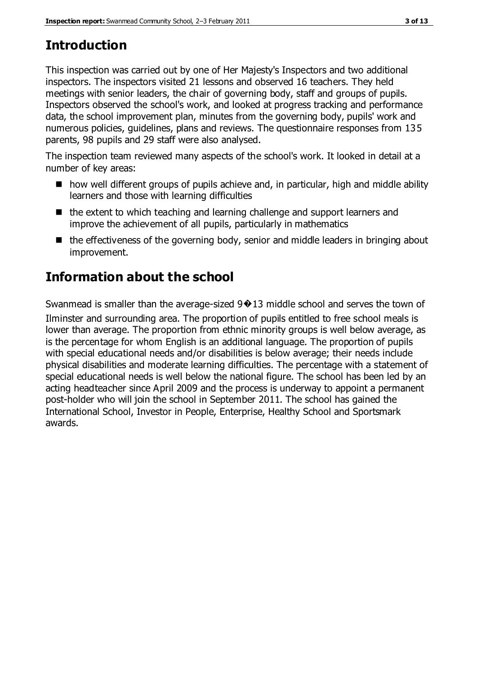# **Introduction**

This inspection was carried out by one of Her Majesty's Inspectors and two additional inspectors. The inspectors visited 21 lessons and observed 16 teachers. They held meetings with senior leaders, the chair of governing body, staff and groups of pupils. Inspectors observed the school's work, and looked at progress tracking and performance data, the school improvement plan, minutes from the governing body, pupils' work and numerous policies, guidelines, plans and reviews. The questionnaire responses from 135 parents, 98 pupils and 29 staff were also analysed.

The inspection team reviewed many aspects of the school's work. It looked in detail at a number of key areas:

- how well different groups of pupils achieve and, in particular, high and middle ability learners and those with learning difficulties
- the extent to which teaching and learning challenge and support learners and improve the achievement of all pupils, particularly in mathematics
- $\blacksquare$  the effectiveness of the governing body, senior and middle leaders in bringing about improvement.

# **Information about the school**

Swanmead is smaller than the average-sized  $9\oplus 13$  middle school and serves the town of Ilminster and surrounding area. The proportion of pupils entitled to free school meals is lower than average. The proportion from ethnic minority groups is well below average, as is the percentage for whom English is an additional language. The proportion of pupils with special educational needs and/or disabilities is below average; their needs include physical disabilities and moderate learning difficulties. The percentage with a statement of special educational needs is well below the national figure. The school has been led by an acting headteacher since April 2009 and the process is underway to appoint a permanent post-holder who will join the school in September 2011. The school has gained the International School, Investor in People, Enterprise, Healthy School and Sportsmark awards.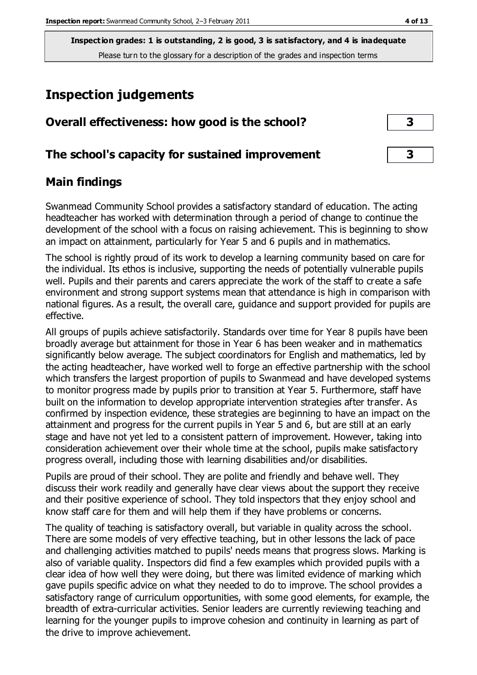# **Inspection judgements**

| Overall effectiveness: how good is the school?  |  |
|-------------------------------------------------|--|
| The school's capacity for sustained improvement |  |

#### **Main findings**

Swanmead Community School provides a satisfactory standard of education. The acting headteacher has worked with determination through a period of change to continue the development of the school with a focus on raising achievement. This is beginning to show an impact on attainment, particularly for Year 5 and 6 pupils and in mathematics.

The school is rightly proud of its work to develop a learning community based on care for the individual. Its ethos is inclusive, supporting the needs of potentially vulnerable pupils well. Pupils and their parents and carers appreciate the work of the staff to create a safe environment and strong support systems mean that attendance is high in comparison with national figures. As a result, the overall care, guidance and support provided for pupils are effective.

All groups of pupils achieve satisfactorily. Standards over time for Year 8 pupils have been broadly average but attainment for those in Year 6 has been weaker and in mathematics significantly below average. The subject coordinators for English and mathematics, led by the acting headteacher, have worked well to forge an effective partnership with the school which transfers the largest proportion of pupils to Swanmead and have developed systems to monitor progress made by pupils prior to transition at Year 5. Furthermore, staff have built on the information to develop appropriate intervention strategies after transfer. As confirmed by inspection evidence, these strategies are beginning to have an impact on the attainment and progress for the current pupils in Year 5 and 6, but are still at an early stage and have not yet led to a consistent pattern of improvement. However, taking into consideration achievement over their whole time at the school, pupils make satisfactory progress overall, including those with learning disabilities and/or disabilities.

Pupils are proud of their school. They are polite and friendly and behave well. They discuss their work readily and generally have clear views about the support they receive and their positive experience of school. They told inspectors that they enjoy school and know staff care for them and will help them if they have problems or concerns.

The quality of teaching is satisfactory overall, but variable in quality across the school. There are some models of very effective teaching, but in other lessons the lack of pace and challenging activities matched to pupils' needs means that progress slows. Marking is also of variable quality. Inspectors did find a few examples which provided pupils with a clear idea of how well they were doing, but there was limited evidence of marking which gave pupils specific advice on what they needed to do to improve. The school provides a satisfactory range of curriculum opportunities, with some good elements, for example, the breadth of extra-curricular activities. Senior leaders are currently reviewing teaching and learning for the younger pupils to improve cohesion and continuity in learning as part of the drive to improve achievement.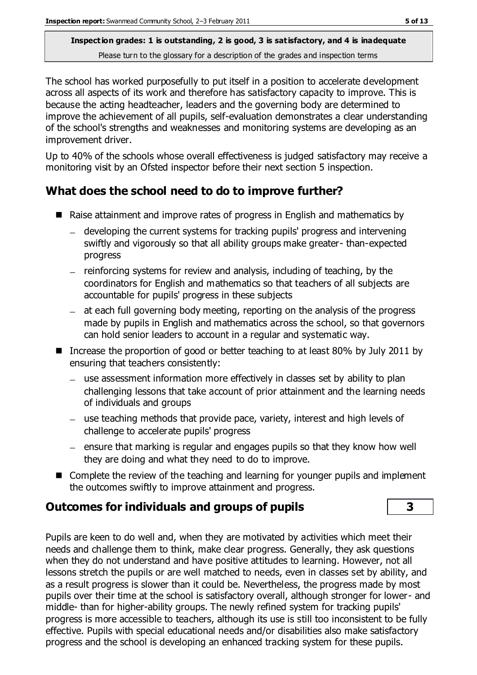The school has worked purposefully to put itself in a position to accelerate development across all aspects of its work and therefore has satisfactory capacity to improve. This is because the acting headteacher, leaders and the governing body are determined to improve the achievement of all pupils, self-evaluation demonstrates a clear understanding of the school's strengths and weaknesses and monitoring systems are developing as an improvement driver.

Up to 40% of the schools whose overall effectiveness is judged satisfactory may receive a monitoring visit by an Ofsted inspector before their next section 5 inspection.

# **What does the school need to do to improve further?**

- Raise attainment and improve rates of progress in English and mathematics by
	- developing the current systems for tracking pupils' progress and intervening swiftly and vigorously so that all ability groups make greater- than-expected progress
	- $-$  reinforcing systems for review and analysis, including of teaching, by the coordinators for English and mathematics so that teachers of all subjects are accountable for pupils' progress in these subjects
	- $-$  at each full governing body meeting, reporting on the analysis of the progress made by pupils in English and mathematics across the school, so that governors can hold senior leaders to account in a regular and systematic way.
- Increase the proportion of good or better teaching to at least 80% by July 2011 by ensuring that teachers consistently:
	- use assessment information more effectively in classes set by ability to plan challenging lessons that take account of prior attainment and the learning needs of individuals and groups
	- use teaching methods that provide pace, variety, interest and high levels of challenge to accelerate pupils' progress
	- $=$  ensure that marking is regular and engages pupils so that they know how well they are doing and what they need to do to improve.
- Complete the review of the teaching and learning for younger pupils and implement the outcomes swiftly to improve attainment and progress.

# **Outcomes for individuals and groups of pupils 3**

Pupils are keen to do well and, when they are motivated by activities which meet their needs and challenge them to think, make clear progress. Generally, they ask questions when they do not understand and have positive attitudes to learning. However, not all lessons stretch the pupils or are well matched to needs, even in classes set by ability, and as a result progress is slower than it could be. Nevertheless, the progress made by most pupils over their time at the school is satisfactory overall, although stronger for lower- and middle- than for higher-ability groups. The newly refined system for tracking pupils' progress is more accessible to teachers, although its use is still too inconsistent to be fully effective. Pupils with special educational needs and/or disabilities also make satisfactory progress and the school is developing an enhanced tracking system for these pupils.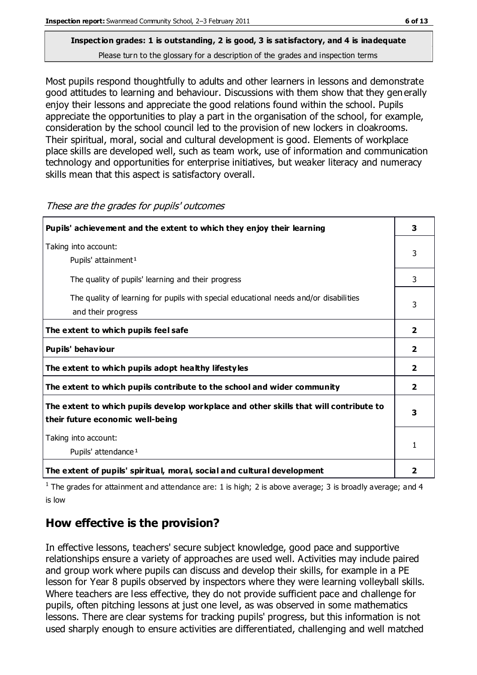# **Inspection grades: 1 is outstanding, 2 is good, 3 is satisfactory, and 4 is inadequate**

Please turn to the glossary for a description of the grades and inspection terms

Most pupils respond thoughtfully to adults and other learners in lessons and demonstrate good attitudes to learning and behaviour. Discussions with them show that they gen erally enjoy their lessons and appreciate the good relations found within the school. Pupils appreciate the opportunities to play a part in the organisation of the school, for example, consideration by the school council led to the provision of new lockers in cloakrooms. Their spiritual, moral, social and cultural development is good. Elements of workplace place skills are developed well, such as team work, use of information and communication technology and opportunities for enterprise initiatives, but weaker literacy and numeracy skills mean that this aspect is satisfactory overall.

| Pupils' achievement and the extent to which they enjoy their learning                                                     |                |  |
|---------------------------------------------------------------------------------------------------------------------------|----------------|--|
| Taking into account:<br>Pupils' attainment <sup>1</sup>                                                                   | 3              |  |
| The quality of pupils' learning and their progress                                                                        | 3              |  |
| The quality of learning for pupils with special educational needs and/or disabilities<br>and their progress               |                |  |
| The extent to which pupils feel safe                                                                                      | $\overline{2}$ |  |
| Pupils' behaviour                                                                                                         | $\mathbf{2}$   |  |
| The extent to which pupils adopt healthy lifestyles                                                                       | $\overline{2}$ |  |
| The extent to which pupils contribute to the school and wider community                                                   | $\mathbf{2}$   |  |
| The extent to which pupils develop workplace and other skills that will contribute to<br>their future economic well-being |                |  |
| Taking into account:<br>Pupils' attendance <sup>1</sup>                                                                   | 1              |  |
| The extent of pupils' spiritual, moral, social and cultural development                                                   | 2              |  |

These are the grades for pupils' outcomes

<sup>1</sup> The grades for attainment and attendance are: 1 is high; 2 is above average; 3 is broadly average; and 4 is low

# **How effective is the provision?**

In effective lessons, teachers' secure subject knowledge, good pace and supportive relationships ensure a variety of approaches are used well. Activities may include paired and group work where pupils can discuss and develop their skills, for example in a PE lesson for Year 8 pupils observed by inspectors where they were learning volleyball skills. Where teachers are less effective, they do not provide sufficient pace and challenge for pupils, often pitching lessons at just one level, as was observed in some mathematics lessons. There are clear systems for tracking pupils' progress, but this information is not used sharply enough to ensure activities are differentiated, challenging and well matched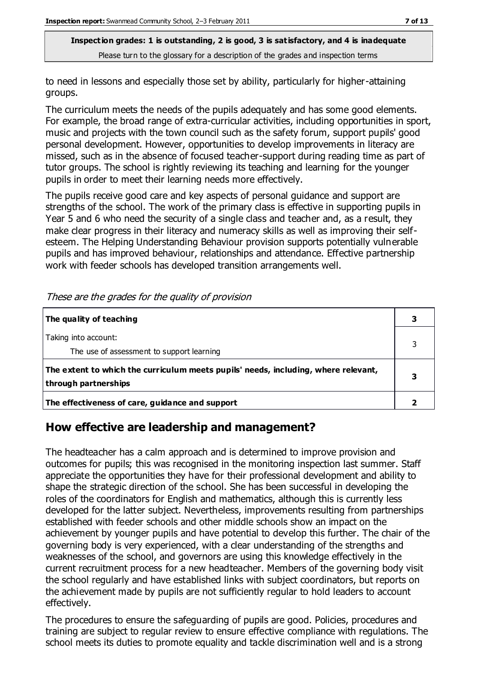to need in lessons and especially those set by ability, particularly for higher-attaining groups.

The curriculum meets the needs of the pupils adequately and has some good elements. For example, the broad range of extra-curricular activities, including opportunities in sport, music and projects with the town council such as the safety forum, support pupils' good personal development. However, opportunities to develop improvements in literacy are missed, such as in the absence of focused teacher-support during reading time as part of tutor groups. The school is rightly reviewing its teaching and learning for the younger pupils in order to meet their learning needs more effectively.

The pupils receive good care and key aspects of personal guidance and support are strengths of the school. The work of the primary class is effective in supporting pupils in Year 5 and 6 who need the security of a single class and teacher and, as a result, they make clear progress in their literacy and numeracy skills as well as improving their selfesteem. The Helping Understanding Behaviour provision supports potentially vulnerable pupils and has improved behaviour, relationships and attendance. Effective partnership work with feeder schools has developed transition arrangements well.

| The quality of teaching                                                                                    |  |
|------------------------------------------------------------------------------------------------------------|--|
| Taking into account:<br>The use of assessment to support learning                                          |  |
| The extent to which the curriculum meets pupils' needs, including, where relevant,<br>through partnerships |  |
| The effectiveness of care, guidance and support                                                            |  |

These are the grades for the quality of provision

# **How effective are leadership and management?**

The headteacher has a calm approach and is determined to improve provision and outcomes for pupils; this was recognised in the monitoring inspection last summer. Staff appreciate the opportunities they have for their professional development and ability to shape the strategic direction of the school. She has been successful in developing the roles of the coordinators for English and mathematics, although this is currently less developed for the latter subject. Nevertheless, improvements resulting from partnerships established with feeder schools and other middle schools show an impact on the achievement by younger pupils and have potential to develop this further. The chair of the governing body is very experienced, with a clear understanding of the strengths and weaknesses of the school, and governors are using this knowledge effectively in the current recruitment process for a new headteacher. Members of the governing body visit the school regularly and have established links with subject coordinators, but reports on the achievement made by pupils are not sufficiently regular to hold leaders to account effectively.

The procedures to ensure the safeguarding of pupils are good. Policies, procedures and training are subject to regular review to ensure effective compliance with regulations. The school meets its duties to promote equality and tackle discrimination well and is a strong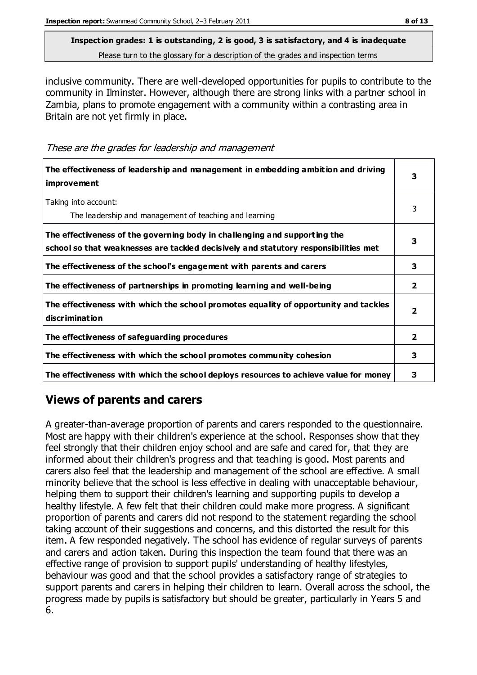inclusive community. There are well-developed opportunities for pupils to contribute to the community in Ilminster. However, although there are strong links with a partner school in Zambia, plans to promote engagement with a community within a contrasting area in Britain are not yet firmly in place.

These are the grades for leadership and management

| The effectiveness of leadership and management in embedding ambition and driving<br><i>improvement</i>                                                           |                         |
|------------------------------------------------------------------------------------------------------------------------------------------------------------------|-------------------------|
| Taking into account:<br>The leadership and management of teaching and learning                                                                                   | 3                       |
| The effectiveness of the governing body in challenging and supporting the<br>school so that weaknesses are tackled decisively and statutory responsibilities met | 3                       |
| The effectiveness of the school's engagement with parents and carers                                                                                             | 3                       |
| The effectiveness of partnerships in promoting learning and well-being                                                                                           | $\mathbf{2}$            |
| The effectiveness with which the school promotes equality of opportunity and tackles<br>discrimination                                                           | $\overline{\mathbf{2}}$ |
| The effectiveness of safeguarding procedures                                                                                                                     | 2                       |
| The effectiveness with which the school promotes community cohesion                                                                                              | 3                       |
| The effectiveness with which the school deploys resources to achieve value for money                                                                             | з                       |

# **Views of parents and carers**

A greater-than-average proportion of parents and carers responded to the questionnaire. Most are happy with their children's experience at the school. Responses show that they feel strongly that their children enjoy school and are safe and cared for, that they are informed about their children's progress and that teaching is good. Most parents and carers also feel that the leadership and management of the school are effective. A small minority believe that the school is less effective in dealing with unacceptable behaviour, helping them to support their children's learning and supporting pupils to develop a healthy lifestyle. A few felt that their children could make more progress. A significant proportion of parents and carers did not respond to the statement regarding the school taking account of their suggestions and concerns, and this distorted the result for this item. A few responded negatively. The school has evidence of regular surveys of parents and carers and action taken. During this inspection the team found that there was an effective range of provision to support pupils' understanding of healthy lifestyles, behaviour was good and that the school provides a satisfactory range of strategies to support parents and carers in helping their children to learn. Overall across the school, the progress made by pupils is satisfactory but should be greater, particularly in Years 5 and 6.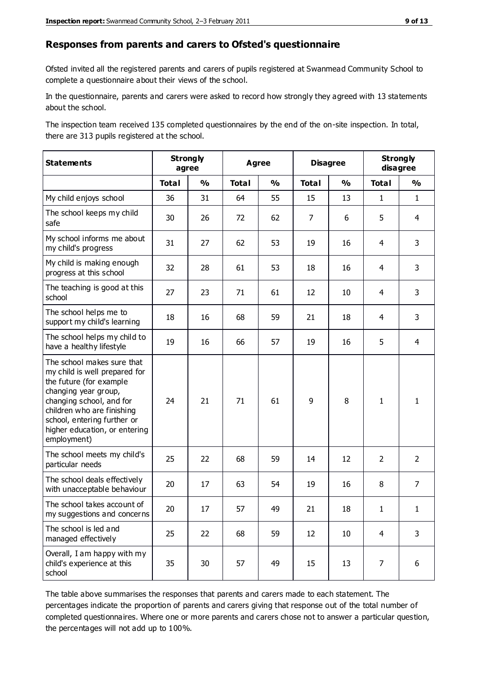#### **Responses from parents and carers to Ofsted's questionnaire**

Ofsted invited all the registered parents and carers of pupils registered at Swanmead Community School to complete a questionnaire about their views of the school.

In the questionnaire, parents and carers were asked to record how strongly they agreed with 13 statements about the school.

The inspection team received 135 completed questionnaires by the end of the on-site inspection. In total, there are 313 pupils registered at the school.

| <b>Statements</b>                                                                                                                                                                                                                                       | <b>Strongly</b><br>agree |               | Agree        |               | <b>Disagree</b> |               | <b>Strongly</b><br>disagree |                |
|---------------------------------------------------------------------------------------------------------------------------------------------------------------------------------------------------------------------------------------------------------|--------------------------|---------------|--------------|---------------|-----------------|---------------|-----------------------------|----------------|
|                                                                                                                                                                                                                                                         | <b>Total</b>             | $\frac{1}{2}$ | <b>Total</b> | $\frac{1}{2}$ | <b>Total</b>    | $\frac{1}{2}$ | <b>Total</b>                | $\frac{1}{2}$  |
| My child enjoys school                                                                                                                                                                                                                                  | 36                       | 31            | 64           | 55            | 15              | 13            | $\mathbf{1}$                | $\mathbf{1}$   |
| The school keeps my child<br>safe                                                                                                                                                                                                                       | 30                       | 26            | 72           | 62            | $\overline{7}$  | 6             | 5                           | $\overline{4}$ |
| My school informs me about<br>my child's progress                                                                                                                                                                                                       | 31                       | 27            | 62           | 53            | 19              | 16            | 4                           | 3              |
| My child is making enough<br>progress at this school                                                                                                                                                                                                    | 32                       | 28            | 61           | 53            | 18              | 16            | 4                           | 3              |
| The teaching is good at this<br>school                                                                                                                                                                                                                  | 27                       | 23            | 71           | 61            | 12              | 10            | 4                           | 3              |
| The school helps me to<br>support my child's learning                                                                                                                                                                                                   | 18                       | 16            | 68           | 59            | 21              | 18            | 4                           | 3              |
| The school helps my child to<br>have a healthy lifestyle                                                                                                                                                                                                | 19                       | 16            | 66           | 57            | 19              | 16            | 5                           | 4              |
| The school makes sure that<br>my child is well prepared for<br>the future (for example<br>changing year group,<br>changing school, and for<br>children who are finishing<br>school, entering further or<br>higher education, or entering<br>employment) | 24                       | 21            | 71           | 61            | 9               | 8             | $\mathbf{1}$                | $\mathbf{1}$   |
| The school meets my child's<br>particular needs                                                                                                                                                                                                         | 25                       | 22            | 68           | 59            | 14              | 12            | 2                           | $\overline{2}$ |
| The school deals effectively<br>with unacceptable behaviour                                                                                                                                                                                             | 20                       | 17            | 63           | 54            | 19              | 16            | 8                           | $\overline{7}$ |
| The school takes account of<br>my suggestions and concerns                                                                                                                                                                                              | 20                       | 17            | 57           | 49            | 21              | 18            | 1                           | 1              |
| The school is led and<br>managed effectively                                                                                                                                                                                                            | 25                       | 22            | 68           | 59            | 12              | $10\,$        | 4                           | 3              |
| Overall, I am happy with my<br>child's experience at this<br>school                                                                                                                                                                                     | 35                       | 30            | 57           | 49            | 15              | 13            | 7                           | 6              |

The table above summarises the responses that parents and carers made to each statement. The percentages indicate the proportion of parents and carers giving that response out of the total number of completed questionnaires. Where one or more parents and carers chose not to answer a particular question, the percentages will not add up to 100%.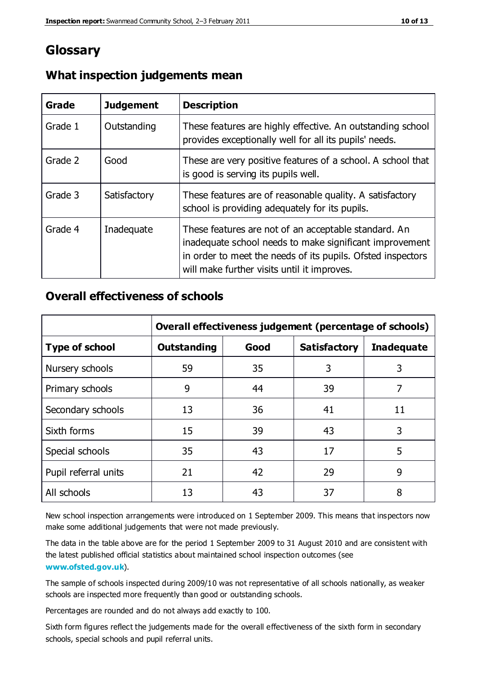# **Glossary**

| Grade   | <b>Judgement</b> | <b>Description</b>                                                                                                                                                                                                            |
|---------|------------------|-------------------------------------------------------------------------------------------------------------------------------------------------------------------------------------------------------------------------------|
| Grade 1 | Outstanding      | These features are highly effective. An outstanding school<br>provides exceptionally well for all its pupils' needs.                                                                                                          |
| Grade 2 | Good             | These are very positive features of a school. A school that<br>is good is serving its pupils well.                                                                                                                            |
| Grade 3 | Satisfactory     | These features are of reasonable quality. A satisfactory<br>school is providing adequately for its pupils.                                                                                                                    |
| Grade 4 | Inadequate       | These features are not of an acceptable standard. An<br>inadequate school needs to make significant improvement<br>in order to meet the needs of its pupils. Ofsted inspectors<br>will make further visits until it improves. |

#### **What inspection judgements mean**

#### **Overall effectiveness of schools**

|                       | Overall effectiveness judgement (percentage of schools) |    |                     |                   |
|-----------------------|---------------------------------------------------------|----|---------------------|-------------------|
| <b>Type of school</b> | Good<br><b>Outstanding</b>                              |    | <b>Satisfactory</b> | <b>Inadequate</b> |
| Nursery schools       | 59                                                      | 35 | 3                   | 3                 |
| Primary schools       | 9                                                       | 44 | 39                  | 7                 |
| Secondary schools     | 13                                                      | 36 | 41                  | 11                |
| Sixth forms           | 15                                                      | 39 | 43                  | 3                 |
| Special schools       | 35                                                      | 43 | 17                  | 5                 |
| Pupil referral units  | 21                                                      | 42 | 29                  | 9                 |
| All schools           | 13                                                      | 43 | 37                  | 8                 |

New school inspection arrangements were introduced on 1 September 2009. This means that inspectors now make some additional judgements that were not made previously.

The data in the table above are for the period 1 September 2009 to 31 August 2010 and are consistent with the latest published official statistics about maintained school inspection outcomes (see **[www.ofsted.gov.uk](http://www.ofsted.gov.uk/)**).

The sample of schools inspected during 2009/10 was not representative of all schools nationally, as weaker schools are inspected more frequently than good or outstanding schools.

Percentages are rounded and do not always add exactly to 100.

Sixth form figures reflect the judgements made for the overall effectiveness of the sixth form in secondary schools, special schools and pupil referral units.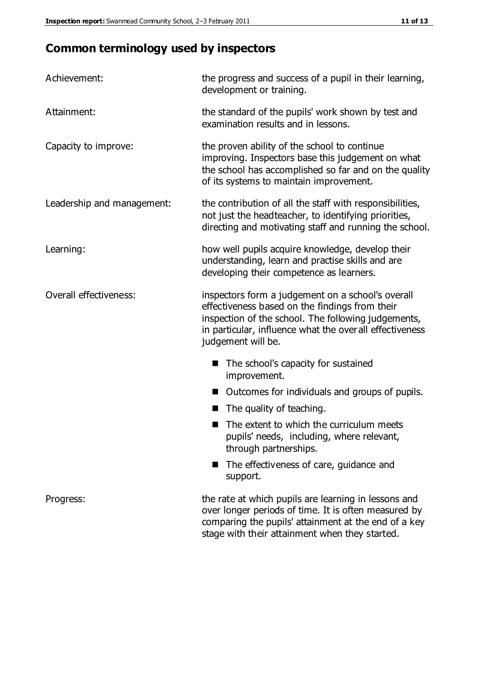# **Common terminology used by inspectors**

| Achievement:                  | the progress and success of a pupil in their learning,<br>development or training.                                                                                                                                                           |  |  |
|-------------------------------|----------------------------------------------------------------------------------------------------------------------------------------------------------------------------------------------------------------------------------------------|--|--|
| Attainment:                   | the standard of the pupils' work shown by test and<br>examination results and in lessons.                                                                                                                                                    |  |  |
| Capacity to improve:          | the proven ability of the school to continue<br>improving. Inspectors base this judgement on what<br>the school has accomplished so far and on the quality<br>of its systems to maintain improvement.                                        |  |  |
| Leadership and management:    | the contribution of all the staff with responsibilities,<br>not just the headteacher, to identifying priorities,<br>directing and motivating staff and running the school.                                                                   |  |  |
| Learning:                     | how well pupils acquire knowledge, develop their<br>understanding, learn and practise skills and are<br>developing their competence as learners.                                                                                             |  |  |
| <b>Overall effectiveness:</b> | inspectors form a judgement on a school's overall<br>effectiveness based on the findings from their<br>inspection of the school. The following judgements,<br>in particular, influence what the over all effectiveness<br>judgement will be. |  |  |
|                               | The school's capacity for sustained<br>improvement.                                                                                                                                                                                          |  |  |
|                               | Outcomes for individuals and groups of pupils.                                                                                                                                                                                               |  |  |
|                               | The quality of teaching.                                                                                                                                                                                                                     |  |  |
|                               | The extent to which the curriculum meets<br>pupils' needs, including, where relevant,<br>through partnerships.                                                                                                                               |  |  |
|                               | The effectiveness of care, guidance and<br>support.                                                                                                                                                                                          |  |  |
| Progress:                     | the rate at which pupils are learning in lessons and<br>over longer periods of time. It is often measured by<br>comparing the pupils' attainment at the end of a key                                                                         |  |  |

stage with their attainment when they started.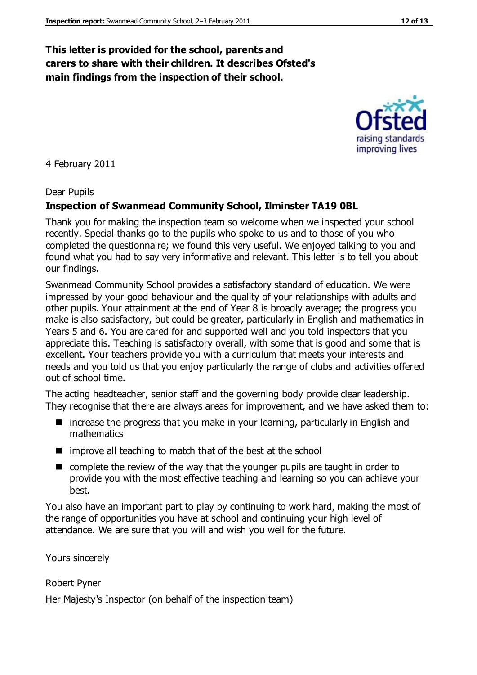#### **This letter is provided for the school, parents and carers to share with their children. It describes Ofsted's main findings from the inspection of their school.**

4 February 2011

#### Dear Pupils

#### **Inspection of Swanmead Community School, Ilminster TA19 0BL**

Thank you for making the inspection team so welcome when we inspected your school recently. Special thanks go to the pupils who spoke to us and to those of you who completed the questionnaire; we found this very useful. We enjoyed talking to you and found what you had to say very informative and relevant. This letter is to tell you about our findings.

Swanmead Community School provides a satisfactory standard of education. We were impressed by your good behaviour and the quality of your relationships with adults and other pupils. Your attainment at the end of Year 8 is broadly average; the progress you make is also satisfactory, but could be greater, particularly in English and mathematics in Years 5 and 6. You are cared for and supported well and you told inspectors that you appreciate this. Teaching is satisfactory overall, with some that is good and some that is excellent. Your teachers provide you with a curriculum that meets your interests and needs and you told us that you enjoy particularly the range of clubs and activities offered out of school time.

The acting headteacher, senior staff and the governing body provide clear leadership. They recognise that there are always areas for improvement, and we have asked them to:

- $\blacksquare$  increase the progress that you make in your learning, particularly in English and mathematics
- $\blacksquare$  improve all teaching to match that of the best at the school
- complete the review of the way that the younger pupils are taught in order to provide you with the most effective teaching and learning so you can achieve your best.

You also have an important part to play by continuing to work hard, making the most of the range of opportunities you have at school and continuing your high level of attendance. We are sure that you will and wish you well for the future.

Yours sincerely

Robert Pyner

Her Majesty's Inspector (on behalf of the inspection team)